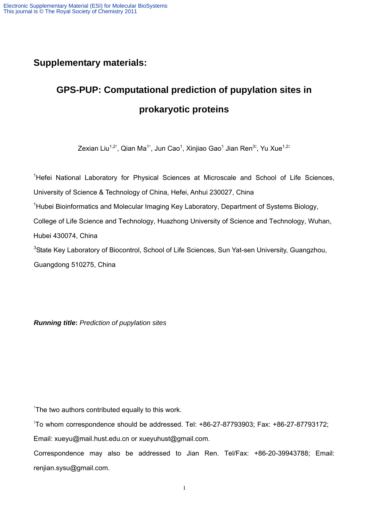## **Supplementary materials:**

# **GPS-PUP: Computational prediction of pupylation sites in prokaryotic proteins**

Zexian Liu $^{1,2^{\dagger}},$  Qian Ma $^{1^{\dagger}},$  Jun Cao $^{1},$  Xinjiao Gao $^{1}$  Jian Ren $^{3^{\ddagger}},$  Yu Xue $^{1,2^{\ddagger}}$ 

<sup>1</sup>Hefei National Laboratory for Physical Sciences at Microscale and School of Life Sciences, University of Science & Technology of China, Hefei, Anhui 230027, China <sup>1</sup>Hubei Bioinformatics and Molecular Imaging Key Laboratory, Department of Systems Biology, College of Life Science and Technology, Huazhong University of Science and Technology, Wuhan, Hubei 430074, China <sup>3</sup>State Key Laboratory of Biocontrol, School of Life Sciences, Sun Yat-sen University, Guangzhou, Guangdong 510275, China

*Running title***:** *Prediction of pupylation sites*

<sup>†</sup>The two authors contributed equally to this work.

‡ To whom correspondence should be addressed. Tel: +86-27-87793903; Fax: +86-27-87793172;

Email: xueyu@mail.hust.edu.cn or xueyuhust@gmail.com.

Correspondence may also be addressed to Jian Ren. Tel/Fax: +86-20-39943788; Email: renjian.sysu@gmail.com.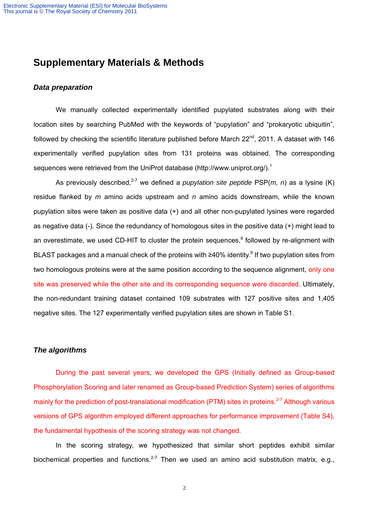### **Supplementary Materials & Methods**

### *Data preparation*

We manually collected experimentally identified pupylated substrates along with their location sites by searching PubMed with the keywords of "pupylation" and "prokaryotic ubiquitin", followed by checking the scientific literature published before March  $22^{nd}$ , 2011. A dataset with 146 experimentally verified pupylation sites from 131 proteins was obtained. The corresponding sequences were retrieved from the UniProt database (http://www.uniprot.org/).<sup>1</sup>

As previously described,<sup>2-7</sup> we defined a *pupylation site peptide* PSP(*m, n*) as a lysine (K) residue flanked by *m* amino acids upstream and *n* amino acids downstream, while the known pupylation sites were taken as positive data (+) and all other non-pupylated lysines were regarded as negative data (-). Since the redundancy of homologous sites in the positive data (+) might lead to an overestimate, we used CD-HIT to cluster the protein sequences,<sup>8</sup> followed by re-alignment with BLAST packages and a manual check of the proteins with ≥40% identity.<sup>9</sup> If two pupylation sites from two homologous proteins were at the same position according to the sequence alignment, only one site was preserved while the other site and its corresponding sequence were discarded. Ultimately, the non-redundant training dataset contained 109 substrates with 127 positive sites and 1,405 negative sites. The 127 experimentally verified pupylation sites are shown in Table S1.

### *The algorithms*

During the past several years, we developed the GPS (Initially defined as Group-based Phosphorylation Scoring and later renamed as Group-based Prediction System) series of algorithms mainly for the prediction of post-translational modification (PTM) sites in proteins.<sup>2-7</sup> Although various versions of GPS algorithm employed different approaches for performance improvement (Table S4), the fundamental hypothesis of the scoring strategy was not changed.

In the scoring strategy, we hypothesized that similar short peptides exhibit similar biochemical properties and functions. $2-7$  Then we used an amino acid substitution matrix, e.g.,

2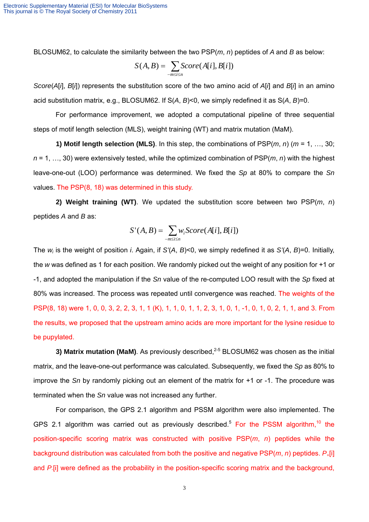BLOSUM62, to calculate the similarity between the two PSP(*m*, *n*) peptides of *A* and *B* as below:

$$
S(A,B) = \sum_{-m \le i \le n} Score(A[i], B[i])
$$

*Score*(*A*[*i*], *B*[*i*]) represents the substitution score of the two amino acid of *A*[*i*] and *B*[*i*] in an amino acid substitution matrix, e.g., BLOSUM62. If S(*A*, *B*)<0, we simply redefined it as S(*A*, *B*)=0.

For performance improvement, we adopted a computational pipeline of three sequential steps of motif length selection (MLS), weight training (WT) and matrix mutation (MaM).

**1) Motif length selection (MLS)**. In this step, the combinations of PSP(*m*, *n*) (*m* = 1, …, 30; *n* = 1, …, 30) were extensively tested, while the optimized combination of PSP(*m*, *n*) with the highest leave-one-out (LOO) performance was determined. We fixed the *Sp* at 80% to compare the *Sn* values. The PSP(8, 18) was determined in this study.

**2) Weight training (WT)**. We updated the substitution score between two PSP(*m*, *n*) peptides *A* and *B* as:

$$
S'(A, B) = \sum_{-m \le i \le n} w_i Score(A[i], B[i])
$$

The *wi* is the weight of position *i*. Again, if *S'*(*A*, *B*)<0, we simply redefined it as *S'*(*A*, *B*)=0. Initially, the *w* was defined as 1 for each position. We randomly picked out the weight of any position for +1 or -1, and adopted the manipulation if the *Sn* value of the re-computed LOO result with the *Sp* fixed at 80% was increased. The process was repeated until convergence was reached. The weights of the PSP(8, 18) were 1, 0, 0, 3, 2, 2, 3, 1, 1 (K), 1, 1, 0, 1, 1, 2, 3, 1, 0, 1, -1, 0, 1, 0, 2, 1, 1, and 3. From the results, we proposed that the upstream amino acids are more important for the lysine residue to be pupylated.

**3) Matrix mutation (MaM)**. As previously described,<sup>2-5</sup> BLOSUM62 was chosen as the initial matrix, and the leave-one-out performance was calculated. Subsequently, we fixed the *Sp* as 80% to improve the *Sn* by randomly picking out an element of the matrix for +1 or -1. The procedure was terminated when the *Sn* value was not increased any further.

For comparison, the GPS 2.1 algorithm and PSSM algorithm were also implemented. The GPS 2.1 algorithm was carried out as previously described.<sup>5</sup> For the PSSM algorithm.<sup>10</sup> the position-specific scoring matrix was constructed with positive PSP(*m*, *n*) peptides while the background distribution was calculated from both the positive and negative PSP(*m, n*) peptides. P<sub>+</sub>[i] and *P-*[i] were defined as the probability in the position-specific scoring matrix and the background,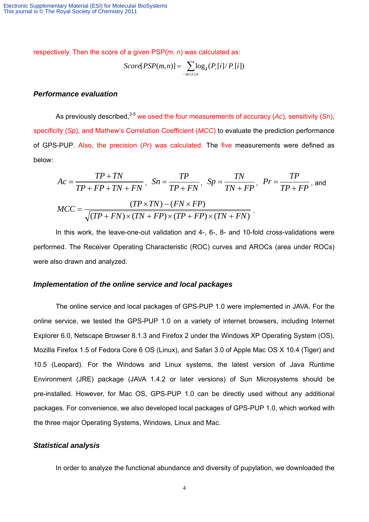respectively. Then the score of a given PSP(*m*, *n*) was calculated as:

$$
Score[PSP(m,n)] = \sum_{-m \le i \le n} \log_2(P_{+}[i]/P_{-}[i])
$$

### *Performance evaluation*

As previously described,<sup>2-5</sup> we used the four measurements of accuracy (Ac), sensitivity (*Sn*), specificity (*Sp*), and Mathew's Correlation Coefficient (*MCC*) to evaluate the prediction performance of GPS-PUP. Also, the precision (*Pr*) was calculated. The five measurements were defined as below:

$$
Ac = \frac{TP + TN}{TP + FP + TN + FN}, \quad Sn = \frac{TP}{TP + FN}, \quad Sp = \frac{TN}{TN + FP}, \quad Pr = \frac{TP}{TP + FP}, \text{ and}
$$

$$
MCC = \frac{(TP \times TN) - (FN \times FP)}{\sqrt{(TP + FN) \times (TN + FP) \times (TP + FP) \times (TN + FN)}}.
$$

In this work, the leave-one-out validation and 4-, 6-, 8- and 10-fold cross-validations were performed. The Receiver Operating Characteristic (ROC) curves and AROCs (area under ROCs) were also drawn and analyzed.

#### *Implementation of the online service and local packages*

The online service and local packages of GPS-PUP 1.0 were implemented in JAVA. For the online service, we tested the GPS-PUP 1.0 on a variety of internet browsers, including Internet Explorer 6.0, Netscape Browser 8.1.3 and Firefox 2 under the Windows XP Operating System (OS), Mozilla Firefox 1.5 of Fedora Core 6 OS (Linux), and Safari 3.0 of Apple Mac OS X 10.4 (Tiger) and 10.5 (Leopard). For the Windows and Linux systems, the latest version of Java Runtime Environment (JRE) package (JAVA 1.4.2 or later versions) of Sun Microsystems should be pre-installed. However, for Mac OS, GPS-PUP 1.0 can be directly used without any additional packages. For convenience, we also developed local packages of GPS-PUP 1.0, which worked with the three major Operating Systems, Windows, Linux and Mac.

#### *Statistical analysis*

In order to analyze the functional abundance and diversity of pupylation, we downloaded the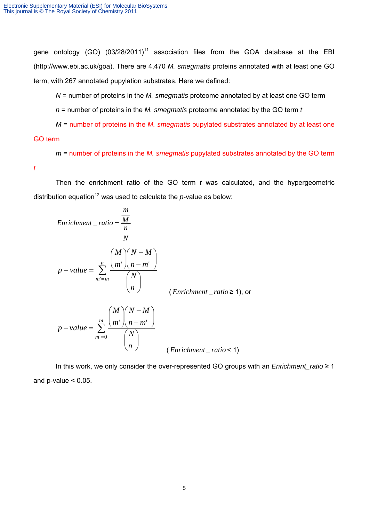gene ontology (GO)  $(03/28/2011)^{11}$  association files from the GOA database at the EBI (http://www.ebi.ac.uk/goa). There are 4,470 *M. smegmatis* proteins annotated with at least one GO term, with 267 annotated pupylation substrates. Here we defined:

*N* = number of proteins in the *M. smegmatis* proteome annotated by at least one GO term

*n* = number of proteins in the *M. smegmatis* proteome annotated by the GO term *t*

*M* = number of proteins in the *M. smegmatis* pupylated substrates annotated by at least one GO term

*m* = number of proteins in the *M. smegmatis* pupylated substrates annotated by the GO term

*t*

Then the enrichment ratio of the GO term *t* was calculated, and the hypergeometric distribution equation<sup>12</sup> was used to calculate the  $p$ -value as below:

Enrichment 
$$
- ratio = \frac{m}{n}
$$

\n
$$
p-value = \sum_{m'=m}^{n} \frac{\binom{M}{m} \binom{N-M}{n-m'}}{\binom{N}{n}}
$$
\n(Enrichment  $- ratio \ge 1$ ), or

\n
$$
p-value = \sum_{m'=0}^{m} \frac{\binom{M}{m} \binom{N-M}{n-m'}}{\binom{N}{n}}
$$

J

 $\setminus$ 

*n*

( *Enrichment* \_ *ratio* < 1)

In this work, we only consider the over-represented GO groups with an *Enrichment\_ratio* ≥ 1 and  $p$ -value  $< 0.05$ .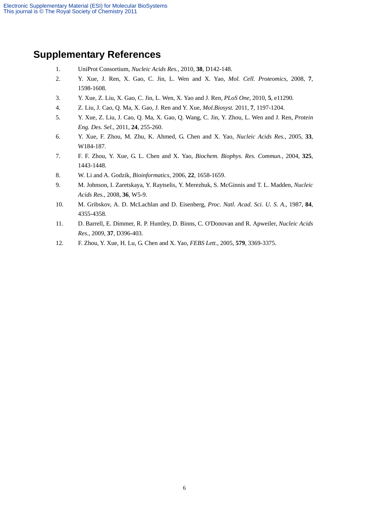# **Supplementary References**

- 1. UniProt Consortium, *Nucleic Acids Res.*, 2010, **38**, D142-148.
- 2. Y. Xue, J. Ren, X. Gao, C. Jin, L. Wen and X. Yao, *Mol. Cell. Proteomics*, 2008, **7**, 1598-1608.
- 3. Y. Xue, Z. Liu, X. Gao, C. Jin, L. Wen, X. Yao and J. Ren, *PLoS One*, 2010, **5**, e11290.
- 4. Z. Liu, J. Cao, Q. Ma, X. Gao, J. Ren and Y. Xue, *Mol.Biosyst.* 2011, **7**, 1197-1204.
- 5. Y. Xue, Z. Liu, J. Cao, Q. Ma, X. Gao, Q. Wang, C. Jin, Y. Zhou, L. Wen and J. Ren, *Protein Eng. Des. Sel.*, 2011, **24**, 255-260.
- 6. Y. Xue, F. Zhou, M. Zhu, K. Ahmed, G. Chen and X. Yao, *Nucleic Acids Res.*, 2005, **33**, W184-187.
- 7. F. F. Zhou, Y. Xue, G. L. Chen and X. Yao, *Biochem. Biophys. Res. Commun.*, 2004, **325**, 1443-1448.
- 8. W. Li and A. Godzik, *Bioinformatics*, 2006, **22**, 1658-1659.
- 9. M. Johnson, I. Zaretskaya, Y. Raytselis, Y. Merezhuk, S. McGinnis and T. L. Madden, *Nucleic Acids Res.*, 2008, **36**, W5-9.
- 10. M. Gribskov, A. D. McLachlan and D. Eisenberg, *Proc. Natl. Acad. Sci. U. S. A.*, 1987, **84**, 4355-4358.
- 11. D. Barrell, E. Dimmer, R. P. Huntley, D. Binns, C. O'Donovan and R. Apweiler, *Nucleic Acids Res.*, 2009, **37**, D396-403.
- 12. F. Zhou, Y. Xue, H. Lu, G. Chen and X. Yao, *FEBS Lett.*, 2005, **579**, 3369-3375.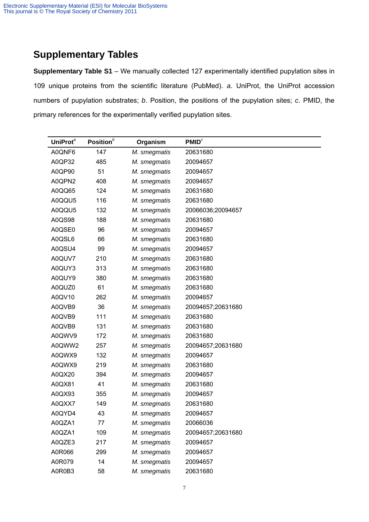# **Supplementary Tables**

**Supplementary Table S1** – We manually collected 127 experimentally identified pupylation sites in 109 unique proteins from the scientific literature (PubMed). *a*. UniProt, the UniProt accession numbers of pupylation substrates; *b*. Position, the positions of the pupylation sites; *c*. PMID, the primary references for the experimentally verified pupylation sites.

| UniProt <sup>a</sup> | Position $^b$ | Organism     | PMID <sup>c</sup> |
|----------------------|---------------|--------------|-------------------|
| A0QNF6               | 147           | M. smegmatis | 20631680          |
| A0QP32               | 485           | M. smegmatis | 20094657          |
| A0QP90               | 51            | M. smegmatis | 20094657          |
| A0QPN2               | 408           | M. smegmatis | 20094657          |
| A0QQ65               | 124           | M. smegmatis | 20631680          |
| A0QQU5               | 116           | M. smegmatis | 20631680          |
| A0QQU5               | 132           | M. smegmatis | 20066036;20094657 |
| A0QS98               | 188           | M. smegmatis | 20631680          |
| A0QSE0               | 96            | M. smegmatis | 20094657          |
| A0QSL6               | 66            | M. smegmatis | 20631680          |
| A0QSU4               | 99            | M. smegmatis | 20094657          |
| A0QUV7               | 210           | M. smegmatis | 20631680          |
| A0QUY3               | 313           | M. smegmatis | 20631680          |
| A0QUY9               | 380           | M. smegmatis | 20631680          |
| A0QUZ0               | 61            | M. smegmatis | 20631680          |
| A0QV10               | 262           | M. smegmatis | 20094657          |
| A0QVB9               | 36            | M. smegmatis | 20094657;20631680 |
| A0QVB9               | 111           | M. smegmatis | 20631680          |
| A0QVB9               | 131           | M. smegmatis | 20631680          |
| A0QWV9               | 172           | M. smegmatis | 20631680          |
| A0QWW2               | 257           | M. smegmatis | 20094657;20631680 |
| A0QWX9               | 132           | M. smegmatis | 20094657          |
| A0QWX9               | 219           | M. smegmatis | 20631680          |
| A0QX20               | 394           | M. smegmatis | 20094657          |
| A0QX81               | 41            | M. smegmatis | 20631680          |
| A0QX93               | 355           | M. smegmatis | 20094657          |
| A0QXX7               | 149           | M. smegmatis | 20631680          |
| A0QYD4               | 43            | M. smegmatis | 20094657          |
| A0QZA1               | 77            | M. smegmatis | 20066036          |
| A0QZA1               | 109           | M. smegmatis | 20094657;20631680 |
| A0QZE3               | 217           | M. smegmatis | 20094657          |
| A0R066               | 299           | M. smegmatis | 20094657          |
| A0R079               | 14            | M. smegmatis | 20094657          |
| A0R0B3               | 58            | M. smegmatis | 20631680          |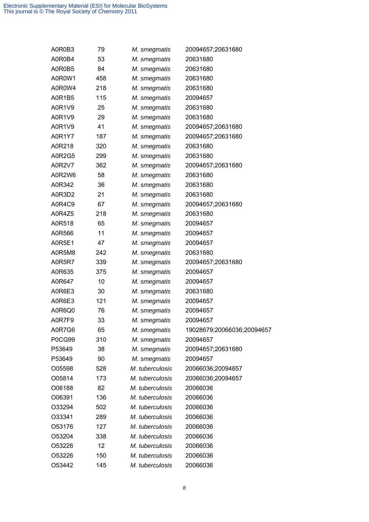| A0R0B3        | 79  | M. smegmatis    | 20094657;20631680          |
|---------------|-----|-----------------|----------------------------|
| A0R0B4        | 53  | M. smegmatis    | 20631680                   |
| A0R0B5        | 84  | M. smegmatis    | 20631680                   |
| A0R0W1        | 458 | M. smegmatis    | 20631680                   |
| A0R0W4        | 218 | M. smegmatis    | 20631680                   |
| A0R1B5        | 115 | M. smegmatis    | 20094657                   |
| A0R1V9        | 25  | M. smegmatis    | 20631680                   |
| A0R1V9        | 29  | M. smegmatis    | 20631680                   |
| A0R1V9        | 41  | M. smegmatis    | 20094657;20631680          |
| A0R1Y7        | 187 | M. smegmatis    | 20094657;20631680          |
| A0R218        | 320 | M. smegmatis    | 20631680                   |
| A0R2G5        | 299 | M. smegmatis    | 20631680                   |
| <b>A0R2V7</b> | 362 | M. smegmatis    | 20094657;20631680          |
| A0R2W6        | 58  | M. smegmatis    | 20631680                   |
| A0R342        | 36  | M. smegmatis    | 20631680                   |
| A0R3D2        | 21  | M. smegmatis    | 20631680                   |
| A0R4C9        | 67  | M. smegmatis    | 20094657;20631680          |
| A0R4Z5        | 218 | M. smegmatis    | 20631680                   |
| A0R518        | 65  | M. smegmatis    | 20094657                   |
| A0R566        | 11  | M. smegmatis    | 20094657                   |
| A0R5E1        | 47  | M. smegmatis    | 20094657                   |
| A0R5M8        | 242 | M. smegmatis    | 20631680                   |
| A0R5R7        | 339 | M. smegmatis    | 20094657;20631680          |
| A0R635        | 375 | M. smegmatis    | 20094657                   |
| A0R647        | 10  | M. smegmatis    | 20094657                   |
| A0R6E3        | 30  | M. smegmatis    | 20631680                   |
| A0R6E3        | 121 | M. smegmatis    | 20094657                   |
| A0R6Q0        | 76  | M. smegmatis    | 20094657                   |
| A0R7F9        | 33  | M. smegmatis    | 20094657                   |
| A0R7G6        | 65  | M. smegmatis    | 19028679;20066036;20094657 |
| P0CG99        | 310 | M. smegmatis    | 20094657                   |
| P53649        | 38  | M. smegmatis    | 20094657;20631680          |
| P53649        | 90  | M. smegmatis    | 20094657                   |
| O05598        | 528 | M. tuberculosis | 20066036;20094657          |
| O05814        | 173 | M. tuberculosis | 20066036;20094657          |
| O06188        | 82  | M. tuberculosis | 20066036                   |
| O06391        | 136 | M. tuberculosis | 20066036                   |
| O33294        | 502 | M. tuberculosis | 20066036                   |
| O33341        | 289 | M. tuberculosis | 20066036                   |
| O53176        | 127 | M. tuberculosis | 20066036                   |
| O53204        | 338 | M. tuberculosis | 20066036                   |
| O53226        | 12  | M. tuberculosis | 20066036                   |
| O53226        | 150 | M. tuberculosis | 20066036                   |
| O53442        | 145 | M. tuberculosis | 20066036                   |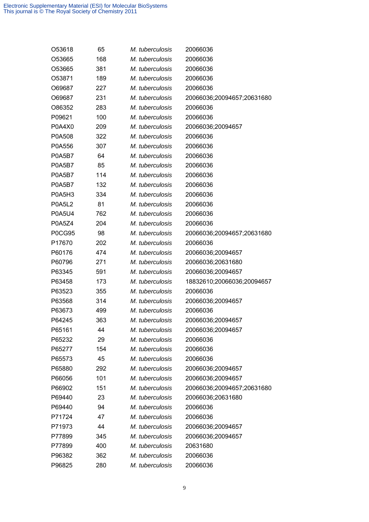| O53618        | 65  | M. tuberculosis | 20066036                   |
|---------------|-----|-----------------|----------------------------|
| O53665        | 168 | M. tuberculosis | 20066036                   |
| O53665        | 381 | M. tuberculosis | 20066036                   |
| O53871        | 189 | M. tuberculosis | 20066036                   |
| O69687        | 227 | M. tuberculosis | 20066036                   |
| O69687        | 231 | M. tuberculosis | 20066036;20094657;20631680 |
| O86352        | 283 | M. tuberculosis | 20066036                   |
| P09621        | 100 | M. tuberculosis | 20066036                   |
| P0A4X0        | 209 | M. tuberculosis | 20066036;20094657          |
| P0A508        | 322 | M. tuberculosis | 20066036                   |
| P0A556        | 307 | M. tuberculosis | 20066036                   |
| P0A5B7        | 64  | M. tuberculosis | 20066036                   |
| <b>P0A5B7</b> | 85  | M. tuberculosis | 20066036                   |
| P0A5B7        | 114 | M. tuberculosis | 20066036                   |
| P0A5B7        | 132 | M. tuberculosis | 20066036                   |
| <b>P0A5H3</b> | 334 | M. tuberculosis | 20066036                   |
| <b>P0A5L2</b> | 81  | M. tuberculosis | 20066036                   |
| <b>P0A5U4</b> | 762 | M. tuberculosis | 20066036                   |
| <b>P0A5Z4</b> | 204 | M. tuberculosis | 20066036                   |
| <b>P0CG95</b> | 98  | M. tuberculosis | 20066036;20094657;20631680 |
| P17670        | 202 | M. tuberculosis | 20066036                   |
| P60176        | 474 | M. tuberculosis | 20066036;20094657          |
| P60796        | 271 | M. tuberculosis | 20066036;20631680          |
| P63345        | 591 | M. tuberculosis | 20066036;20094657          |
| P63458        | 173 | M. tuberculosis | 18832610;20066036;20094657 |
| P63523        | 355 | M. tuberculosis | 20066036                   |
| P63568        | 314 | M. tuberculosis | 20066036;20094657          |
| P63673        | 499 | M. tuberculosis | 20066036                   |
| P64245        | 363 | M. tuberculosis | 20066036;20094657          |
| P65161        | 44  | M. tuberculosis | 20066036;20094657          |
| P65232        | 29  | M. tuberculosis | 20066036                   |
| P65277        | 154 | M. tuberculosis | 20066036                   |
| P65573        | 45  | M. tuberculosis | 20066036                   |
| P65880        | 292 | M. tuberculosis | 20066036;20094657          |
| P66056        | 101 | M. tuberculosis | 20066036;20094657          |
| P66902        | 151 | M. tuberculosis | 20066036;20094657;20631680 |
| P69440        | 23  | M. tuberculosis | 20066036;20631680          |
| P69440        | 94  | M. tuberculosis | 20066036                   |
| P71724        | 47  | M. tuberculosis | 20066036                   |
| P71973        | 44  | M. tuberculosis | 20066036;20094657          |
| P77899        | 345 | M. tuberculosis | 20066036;20094657          |
| P77899        | 400 | M. tuberculosis | 20631680                   |
| P96382        | 362 | M. tuberculosis | 20066036                   |
| P96825        | 280 | M. tuberculosis | 20066036                   |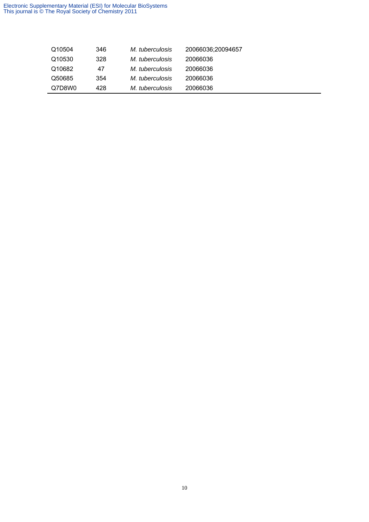#### Electronic Supplementary Material (ESI) for Molecular BioSystems This journal is © The Royal Society of Chemistry 2011

| Q10504 | 346 | M. tuberculosis | 20066036;20094657 |
|--------|-----|-----------------|-------------------|
| Q10530 | 328 | M. tuberculosis | 20066036          |
| Q10682 | 47  | M. tuberculosis | 20066036          |
| Q50685 | 354 | M. tuberculosis | 20066036          |
| Q7D8W0 | 428 | M. tuberculosis | 20066036          |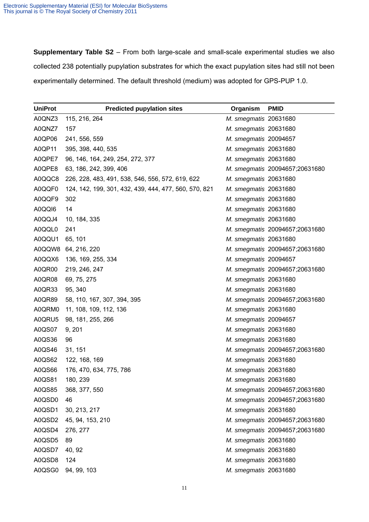**Supplementary Table S2** – From both large-scale and small-scale experimental studies we also collected 238 potentially pupylation substrates for which the exact pupylation sites had still not been experimentally determined. The default threshold (medium) was adopted for GPS-PUP 1.0.

| <b>UniProt</b> | <b>Predicted pupylation sites</b>                     | Organism              | <b>PMID</b>                    |
|----------------|-------------------------------------------------------|-----------------------|--------------------------------|
| A0QNZ3         | 115, 216, 264                                         | M. smegmatis 20631680 |                                |
| A0QNZ7         | 157                                                   | M. smegmatis 20631680 |                                |
| A0QP06         | 241, 556, 559                                         | M. smegmatis 20094657 |                                |
| A0QP11         | 395, 398, 440, 535                                    | M. smegmatis 20631680 |                                |
| A0QPE7         | 96, 146, 164, 249, 254, 272, 377                      | M. smegmatis 20631680 |                                |
| A0QPE8         | 63, 186, 242, 399, 406                                |                       | M. smegmatis 20094657;20631680 |
| A0QQC8         | 226, 228, 483, 491, 538, 546, 556, 572, 619, 622      | M. smegmatis 20631680 |                                |
| A0QQF0         | 124, 142, 199, 301, 432, 439, 444, 477, 560, 570, 821 | M. smegmatis 20631680 |                                |
| A0QQF9         | 302                                                   | M. smegmatis 20631680 |                                |
| A0QQI6         | 14                                                    | M. smegmatis 20631680 |                                |
| A0QQJ4         | 10, 184, 335                                          | M. smegmatis 20631680 |                                |
| A0QQL0         | 241                                                   |                       | M. smegmatis 20094657;20631680 |
| A0QQU1         | 65, 101                                               | M. smegmatis 20631680 |                                |
| A0QQW8         | 64, 216, 220                                          |                       | M. smegmatis 20094657;20631680 |
| A0QQX6         | 136, 169, 255, 334                                    | M. smegmatis 20094657 |                                |
| A0QR00         | 219, 246, 247                                         |                       | M. smegmatis 20094657;20631680 |
| A0QR08         | 69, 75, 275                                           | M. smegmatis 20631680 |                                |
| A0QR33         | 95, 340                                               | M. smegmatis 20631680 |                                |
| A0QR89         | 58, 110, 167, 307, 394, 395                           |                       | M. smegmatis 20094657;20631680 |
| A0QRM0         | 11, 108, 109, 112, 136                                | M. smegmatis 20631680 |                                |
| A0QRU5         | 98, 181, 255, 266                                     | M. smegmatis 20094657 |                                |
| A0QS07         | 9, 201                                                | M. smegmatis 20631680 |                                |
| A0QS36         | 96                                                    | M. smegmatis 20631680 |                                |
| A0QS46         | 31, 151                                               |                       | M. smegmatis 20094657;20631680 |
| A0QS62         | 122, 168, 169                                         | M. smegmatis 20631680 |                                |
| A0QS66         | 176, 470, 634, 775, 786                               | M. smegmatis 20631680 |                                |
| A0QS81         | 180, 239                                              | M. smegmatis 20631680 |                                |
| A0QS85         | 368, 377, 550                                         |                       | M. smegmatis 20094657;20631680 |
| A0QSD0         | 46                                                    |                       | M. smegmatis 20094657;20631680 |
| A0QSD1         | 30, 213, 217                                          | M. smegmatis 20631680 |                                |
| A0QSD2         | 45, 94, 153, 210                                      |                       | M. smegmatis 20094657;20631680 |
| A0QSD4         | 276, 277                                              |                       | M. smegmatis 20094657;20631680 |
| A0QSD5         | 89                                                    | M. smegmatis 20631680 |                                |
| A0QSD7         | 40, 92                                                | M. smegmatis 20631680 |                                |
| A0QSD8         | 124                                                   | M. smegmatis 20631680 |                                |
| A0QSG0         | 94, 99, 103                                           | M. smegmatis 20631680 |                                |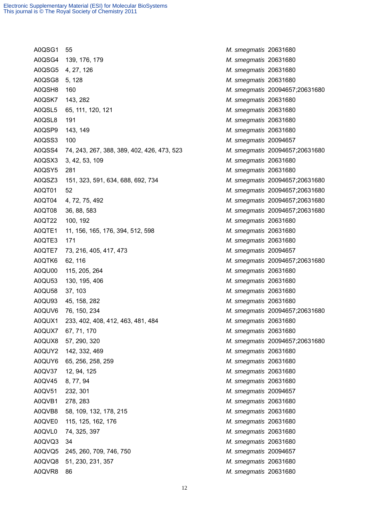A0QSG1 55 *M. smegmatis* 20631680 A0QSG4 139, 176, 179 *M. smegmatis* 20631680 A0QSG5 4, 27, 126 *M. smegmatis* 20631680 A0QSG8 5, 128 *M. smegmatis* 20631680 A0QSH8 160 *M. smegmatis* 20094657;20631680 A0QSK7 143, 282 *M. smegmatis* 20631680 A0QSL5 65, 111, 120, 121 *M. smegmatis* 20631680 A0QSL8 191 *M. smegmatis* 20631680 A0QSP9 143, 149 *M. smegmatis* 20631680 A0QSS3 100 *M. smegmatis* 20094657 A0QSS4 74, 243, 267, 388, 389, 402, 426, 473, 523 *M. smegmatis* 20094657;20631680 A0QSX3 3, 42, 53, 109 *M. smegmatis* 20631680 A0QSY5 281 *M. smegmatis* 20631680 A0QSZ3 151, 323, 591, 634, 688, 692, 734 *M. smegmatis* 20094657;20631680 A0QT01 52 *M. smegmatis* 20094657;20631680 A0QT04 4, 72, 75, 492 *M. smegmatis* 20094657;20631680 A0QT08 36, 88, 583 *M. smegmatis* 20094657;20631680 A0QT22 100, 192 *M. smegmatis* 20631680 A0QTE1 11, 156, 165, 176, 394, 512, 598 *M. smegmatis* 20631680 A0QTE3 171 *M. smegmatis* 20631680 A0QTE7 73, 216, 405, 417, 473 *M. smegmatis* 20094657 A0QTK6 62, 116 *M. smegmatis* 20094657;20631680 A0QU00 115, 205, 264 *M. smegmatis* 20631680 A0QU53 130, 195, 406 *M. smegmatis* 20631680 A0QU58 37, 103 *M. smegmatis* 20631680 A0QU93 45, 158, 282 *M. smegmatis* 20631680 A0QUV6 76, 150, 234 *M. smegmatis* 20094657;20631680 A0QUX1 233, 402, 408, 412, 463, 481, 484 *M. smegmatis* 20631680 A0QUX7 67, 71, 170 *M. smegmatis* 20631680 A0QUX8 57, 290, 320 *M. smegmatis* 20094657;20631680 A0QUY2 142, 332, 469 *M. smegmatis* 20631680 A0QUY6 65, 256, 258, 259 *M. smegmatis* 20631680 A0QV37 12, 94, 125 *M. smegmatis* 20631680 A0QV45 8, 77, 94 *M. smegmatis* 20631680 A0QV51 232, 301 *M. smegmatis* 20094657 A0QVB1 278, 283 *M. smegmatis* 20631680 A0QVB8 58, 109, 132, 178, 215 *M. smegmatis* 20631680 A0QVE0 115, 125, 162, 176 *M. smegmatis* 20631680 A0QVL0 74, 325, 397 *M. smegmatis* 20631680 A0QVQ3 34 *M. smegmatis* 20631680 A0QVQ5 245, 260, 709, 746, 750 *M. smegmatis* 20094657 A0QVQ8 51, 230, 231, 357 *M. smegmatis* 20631680 A0QVR8 86 *M. smegmatis* 20631680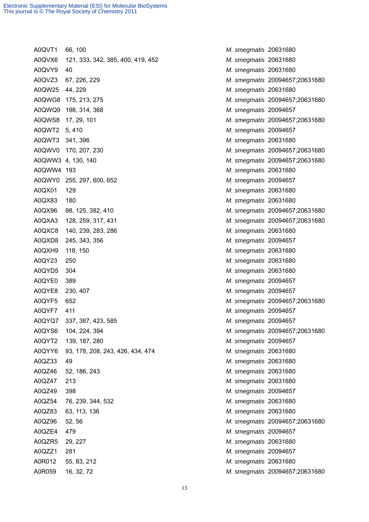A0QVT1 66, 100 *M. smegmatis* 20631680 A0QVX6 121, 333, 342, 385, 400, 419, 452 *M. smegmatis* 20631680 A0QVY9 40 *M. smegmatis* 20631680 A0QVZ3 67, 226, 229 *M. smegmatis* 20094657;20631680 A0QW25 44, 229 *M. smegmatis* 20631680 A0QWG8 175, 213, 275 *M. smegmatis* 20094657;20631680 A0QWQ9 198, 314, 368 *M. smegmatis* 20094657 A0QWS8 17, 29, 101 *M. smegmatis* 20094657;20631680 A0QWT2 5, 410 *M. smegmatis* 20094657 A0QWT3 341, 396 *M. smegmatis* 20631680 A0QWV0 170, 207, 230 *M. smegmatis* 20094657;20631680 A0QWW3 4, 130, 140 *M. smegmatis* 20094657;20631680 A0QWW4 193 *M. smegmatis* 20631680 A0QWY0 255, 297, 600, 652 *M. smegmatis* 20094657 A0QX01 129 *M. smegmatis* 20631680 A0QX83 180 *M. smegmatis* 20631680 A0QX96 98, 125, 382, 410 *M. smegmatis* 20094657;20631680 A0QXA3 128, 259, 317, 431 *M. smegmatis* 20094657;20631680 A0QXC8 140, 239, 283, 286 *M. smegmatis* 20631680 A0QXD8 245, 343, 356 *M. smegmatis* 20094657 A0QXH9 118, 150 *M. smegmatis* 20631680 A0QY23 250 *M. smegmatis* 20631680 A0QYD5 304 *M. smegmatis* 20631680 A0QYE0 389 *M. smegmatis* 20094657 A0QYE8 230, 407 *M. smegmatis* 20094657 A0QYF5 652 *M. smegmatis* 20094657;20631680 A0QYF7 411 *M. smegmatis* 20094657 A0QYQ7 337, 387, 423, 585 *M. smegmatis* 20094657 A0QYS6 104, 224, 394 *M. smegmatis* 20094657;20631680 A0QYT2 139, 187, 280 *M. smegmatis* 20094657 A0QYY6 93, 178, 208, 243, 426, 434, 474 *M. smegmatis* 20631680 A0QZ33 49 *M. smegmatis* 20631680 A0QZ46 52, 186, 243 *M. smegmatis* 20631680 A0QZ47 213 *M. smegmatis* 20631680 A0QZ49 398 *M. smegmatis* 20094657 A0QZ54 76, 239, 344, 532 *M. smegmatis* 20631680 A0QZ83 63, 113, 136 *M. smegmatis* 20631680 A0QZ96 52, 56 *M. smegmatis* 20094657;20631680 A0QZE4 479 *M. smegmatis* 20094657 A0QZR5 29, 227 *M. smegmatis* 20631680 A0QZZ1 281 *M. smegmatis* 20094657 A0R012 55, 83, 212 *M. smegmatis* 20631680 A0R059 16, 32, 72 *M. smegmatis* 20094657;20631680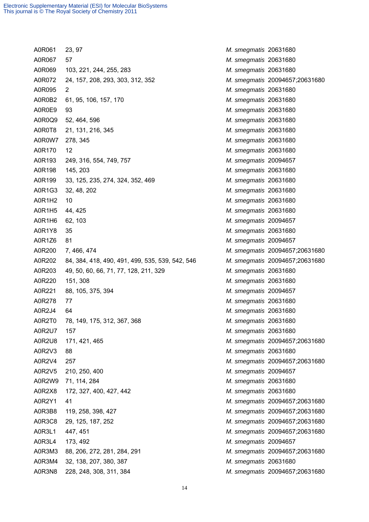A0R061 23, 97 *M. smegmatis* 20631680 A0R067 57 *M. smegmatis* 20631680 A0R069 103, 221, 244, 255, 283 *M. smegmatis* 20631680 A0R072 24, 157, 208, 293, 303, 312, 352 *M. smegmatis* 20094657;20631680 A0R095 2 *M. smegmatis* 20631680 A0R0B2 61, 95, 106, 157, 170 *M. smegmatis* 20631680 A0R0E9 93 *M. smegmatis* 20631680 A0R0Q9 52, 464, 596 *M. smegmatis* 20631680 A0R0T8 21, 131, 216, 345 *M. smegmatis* 20631680 A0R0W7 278, 345 *M. smegmatis* 20631680 A0R170 12 *M. smegmatis* 20631680 A0R193 249, 316, 554, 749, 757 *M. smegmatis* 20094657 A0R198 145, 203 *M. smegmatis* 20631680 A0R199 33, 125, 235, 274, 324, 352, 469 *M. smegmatis* 20631680 A0R1G3 32, 48, 202 *M. smegmatis* 20631680 A0R1H2 10 *M. smegmatis* 20631680 A0R1H5 44, 425 *M. smegmatis* 20631680 A0R1H6 62, 103 *M. smegmatis* 20094657 A0R1Y8 35 *M. smegmatis* 20631680 A0R1Z6 81 *M. smegmatis* 20094657 A0R200 7, 466, 474 *M. smegmatis* 20094657;20631680 A0R202 84, 384, 418, 490, 491, 499, 535, 539, 542, 546 *M. smegmatis* 20094657;20631680 A0R203 49, 50, 60, 66, 71, 77, 128, 211, 329 *M. smegmatis* 20631680 A0R220 151, 308 *M. smegmatis* 20631680 A0R221 88, 105, 375, 394 *M. smegmatis* 20094657 A0R278 77 *M. smegmatis* 20631680 A0R2J4 64 *M. smegmatis* 20631680 A0R2T0 78, 149, 175, 312, 367, 368 *M. smegmatis* 20631680 A0R2U7 157 *M. smegmatis* 20631680 A0R2U8 171, 421, 465 *M. smegmatis* 20094657;20631680 A0R2V3 88 *M. smegmatis* 20631680 A0R2V4 257 *M. smegmatis* 20094657;20631680 A0R2V5 210, 250, 400 *M. smegmatis* 20094657 A0R2W9 71, 114, 284 *M. smegmatis* 20631680 A0R2X8 172, 327, 400, 427, 442 *M. smegmatis* 20631680 A0R2Y1 41 *M. smegmatis* 20094657;20631680 A0R3B8 119, 258, 398, 427 *M. smegmatis* 20094657;20631680 A0R3C8 29, 125, 187, 252 *M. smegmatis* 20094657;20631680 A0R3L1 447, 451 *M. smegmatis* 20094657;20631680 A0R3L4 173, 492 *M. smegmatis* 20094657 A0R3M3 88, 206, 272, 281, 284, 291 *M. smegmatis* 20094657;20631680 A0R3M4 32, 138, 207, 380, 387 *M. smegmatis* 20631680 A0R3N8 228, 248, 308, 311, 384 *M. smegmatis* 20094657;20631680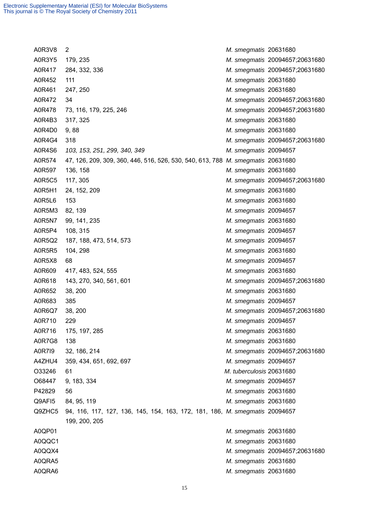A0R3V8 2 *M. smegmatis* 20631680 A0R3Y5 179, 235 *M. smegmatis* 20094657;20631680 A0R417 284, 332, 336 *M. smegmatis* 20094657;20631680 A0R452 111 *M. smegmatis* 20631680 A0R461 247, 250 *M. smegmatis* 20631680 A0R472 34 *M. smegmatis* 20094657;20631680 A0R478 73, 116, 179, 225, 246 *M. smegmatis* 20094657;20631680 A0R4B3 317, 325 *M. smegmatis* 20631680 A0R4D0 9, 88 *M. smegmatis* 20631680 A0R4G4 318 *M. smegmatis* 20094657;20631680 A0R4S6 *103, 153, 251, 299, 340, 349 M. smegmatis* 20094657 A0R574 47, 126, 209, 309, 360, 446, 516, 526, 530, 540, 613, 788 *M. smegmatis* 20631680 A0R597 136, 158 *M. smegmatis* 20631680 A0R5C5 117, 305 *M. smegmatis* 20094657;20631680 A0R5H1 24, 152, 209 *M. smegmatis* 20631680 A0R5L6 153 *M. smegmatis* 20631680 A0R5M3 82, 139 *M. smegmatis* 20094657 A0R5N7 99, 141, 235 *M. smegmatis* 20631680 A0R5P4 108, 315 *M. smegmatis* 20094657 A0R5Q2 187, 188, 473, 514, 573 *M. smegmatis* 20094657 A0R5R5 104, 298 *M. smegmatis* 20631680 A0R5X8 68 *M. smegmatis* 20094657 A0R609 417, 483, 524, 555 *M. smegmatis* 20631680 A0R618 143, 270, 340, 561, 601 *M. smegmatis* 20094657;20631680 A0R652 38, 200 *M. smegmatis* 20631680 A0R683 385 *M. smegmatis* 20094657 A0R6Q7 38, 200 *M. smegmatis* 20094657;20631680 A0R710 229 *M. smegmatis* 20094657 A0R716 175, 197, 285 *M. smegmatis* 20631680 A0R7G8 138 *M. smegmatis* 20631680 A0R7I9 32, 186, 214 *M. smegmatis* 20094657;20631680 A4ZHU4 359, 434, 651, 692, 697 *M. smegmatis* 20094657 O33246 61 *M. tuberculosis* 20631680 O68447 9, 183, 334 *M. smegmatis* 20094657 P42829 56 *M. smegmatis* 20631680 Q9AFI5 84, 95, 119 *M. smegmatis* 20631680 Q9ZHC5 94, 116, 117, 127, 136, 145, 154, 163, 172, 181, 186, *M. smegmatis* 20094657 199, 200, 205 A0QP01 *M. smegmatis* 20631680 A0QQC1 *M. smegmatis* 20631680 A0QQX4 *M. smegmatis* 20094657;20631680 A0QRA5 *M. smegmatis* 20631680 A0QRA6 *M. smegmatis* 20631680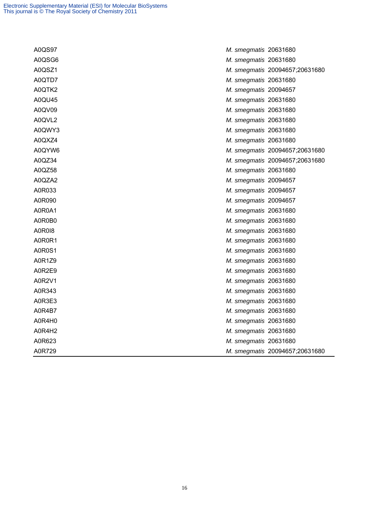| A0QS97        | M. smegmatis 20631680          |
|---------------|--------------------------------|
| A0QSG6        | M. smegmatis 20631680          |
| A0QSZ1        | M. smegmatis 20094657;20631680 |
| A0QTD7        | M. smegmatis 20631680          |
| A0QTK2        | M. smegmatis 20094657          |
| A0QU45        | M. smegmatis 20631680          |
| A0QV09        | M. smegmatis 20631680          |
| A0QVL2        | M. smegmatis 20631680          |
| A0QWY3        | M. smegmatis 20631680          |
| A0QXZ4        | M. smegmatis 20631680          |
| A0QYW6        | M. smegmatis 20094657;20631680 |
| A0QZ34        | M. smegmatis 20094657;20631680 |
| A0QZ58        | M. smegmatis 20631680          |
| A0QZA2        | M. smegmatis 20094657          |
| A0R033        | M. smegmatis 20094657          |
| A0R090        | M. smegmatis 20094657          |
| A0R0A1        | M. smegmatis 20631680          |
| A0R0B0        | M. smegmatis 20631680          |
| <b>A0R018</b> | M. smegmatis 20631680          |
| A0R0R1        | M. smegmatis 20631680          |
| A0R0S1        | M. smegmatis 20631680          |
| A0R1Z9        | M. smegmatis 20631680          |
| A0R2E9        | M. smegmatis 20631680          |
| A0R2V1        | M. smegmatis 20631680          |
| A0R343        | M. smegmatis 20631680          |
| A0R3E3        | M. smegmatis 20631680          |
| A0R4B7        | M. smegmatis 20631680          |
| A0R4H0        | M. smegmatis 20631680          |
| A0R4H2        | M. smegmatis 20631680          |
| A0R623        | M. smegmatis 20631680          |
| A0R729        | M. smegmatis 20094657;20631680 |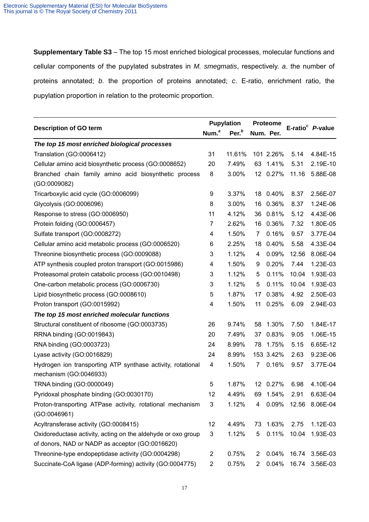**Supplementary Table S3** – The top 15 most enriched biological processes, molecular functions and cellular components of the pupylated substrates in *M. smegmatis*, respectively. *a*. the number of proteins annotated; *b*. the proportion of proteins annotated; *c*. E-ratio, enrichment ratio, the pupylation proportion in relation to the proteomic proportion.

| <b>Description of GO term</b><br>Num. <sup>a</sup>           |                | <b>Pupylation</b> |                | <b>Proteome</b> |       | E-ratio $c$ <i>P</i> -value |
|--------------------------------------------------------------|----------------|-------------------|----------------|-----------------|-------|-----------------------------|
|                                                              |                | Per. <sup>b</sup> |                | Num. Per.       |       |                             |
| The top 15 most enriched biological processes                |                |                   |                |                 |       |                             |
| Translation (GO:0006412)                                     | 31             | 11.61%            |                | 101 2.26%       | 5.14  | 4.84E-15                    |
| Cellular amino acid biosynthetic process (GO:0008652)        | 20             | 7.49%             |                | 63 1.41%        | 5.31  | 2.19E-10                    |
| Branched chain family amino acid biosynthetic process        | 8              | 3.00%             |                | 12 0.27%        | 11.16 | 5.88E-08                    |
| (GO:0009082)                                                 |                |                   |                |                 |       |                             |
| Tricarboxylic acid cycle (GO:0006099)                        | 9              | 3.37%             | 18             | 0.40%           | 8.37  | 2.56E-07                    |
| Glycolysis (GO:0006096)                                      | 8              | 3.00%             |                | 16 0.36%        | 8.37  | 1.24E-06                    |
| Response to stress (GO:0006950)                              | 11             | 4.12%             | 36             | 0.81%           | 5.12  | 4.43E-06                    |
| Protein folding (GO:0006457)                                 | $\overline{7}$ | 2.62%             | 16             | 0.36%           | 7.32  | 1.80E-05                    |
| Sulfate transport (GO:0008272)                               | 4              | 1.50%             | 7              | 0.16%           | 9.57  | 3.77E-04                    |
| Cellular amino acid metabolic process (GO:0006520)           | 6              | 2.25%             | 18             | 0.40%           | 5.58  | 4.33E-04                    |
| Threonine biosynthetic process (GO:0009088)                  | 3              | 1.12%             | 4              | 0.09%           | 12.56 | 8.06E-04                    |
| ATP synthesis coupled proton transport (GO:0015986)          | 4              | 1.50%             | 9              | 0.20%           | 7.44  | 1.23E-03                    |
| Proteasomal protein catabolic process (GO:0010498)           | 3              | 1.12%             | 5              | 0.11%           | 10.04 | 1.93E-03                    |
| One-carbon metabolic process (GO:0006730)                    | 3              | 1.12%             | 5              | 0.11%           | 10.04 | 1.93E-03                    |
| Lipid biosynthetic process (GO:0008610)                      | 5              | 1.87%             | 17             | 0.38%           | 4.92  | 2.50E-03                    |
| Proton transport (GO:0015992)                                | 4              | 1.50%             | 11             | 0.25%           | 6.09  | 2.94E-03                    |
| The top 15 most enriched molecular functions                 |                |                   |                |                 |       |                             |
| Structural constituent of ribosome (GO:0003735)              | 26             | 9.74%             | 58             | 1.30%           | 7.50  | 1.84E-17                    |
| RRNA binding (GO:0019843)                                    | 20             | 7.49%             |                | 37 0.83%        | 9.05  | 1.06E-15                    |
| RNA binding (GO:0003723)                                     | 24             | 8.99%             |                | 78 1.75%        | 5.15  | 6.65E-12                    |
| Lyase activity (GO:0016829)                                  | 24             | 8.99%             |                | 153 3.42%       | 2.63  | 9.23E-06                    |
| Hydrogen ion transporting ATP synthase activity, rotational  | 4              | 1.50%             | $\overline{7}$ | 0.16%           | 9.57  | 3.77E-04                    |
| mechanism (GO:0046933)                                       |                |                   |                |                 |       |                             |
| TRNA binding (GO:0000049)                                    | 5              | 1.87%             |                | 12 0.27%        | 6.98  | 4.10E-04                    |
| Pyridoxal phosphate binding (GO:0030170)                     | 12             | 4.49%             |                | 69 1.54%        | 2.91  | 6.63E-04                    |
| Proton-transporting ATPase activity, rotational mechanism    | 3              | 1.12%             | 4              | 0.09%           |       | 12.56 8.06E-04              |
| (GO:0046961)                                                 |                |                   |                |                 |       |                             |
| Acyltransferase activity (GO:0008415)                        | 12             | 4.49%             |                | 73 1.63%        | 2.75  | 1.12E-03                    |
| Oxidoreductase activity, acting on the aldehyde or oxo group | 3              | 1.12%             | 5              | 0.11%           | 10.04 | 1.93E-03                    |
| of donors, NAD or NADP as acceptor (GO:0016620)              |                |                   |                |                 |       |                             |
| Threonine-type endopeptidase activity (GO:0004298)           | 2              | 0.75%             | 2              | 0.04%           | 16.74 | 3.56E-03                    |
| Succinate-CoA ligase (ADP-forming) activity (GO:0004775)     | $\overline{c}$ | 0.75%             | $2^{\circ}$    | 0.04%           | 16.74 | 3.56E-03                    |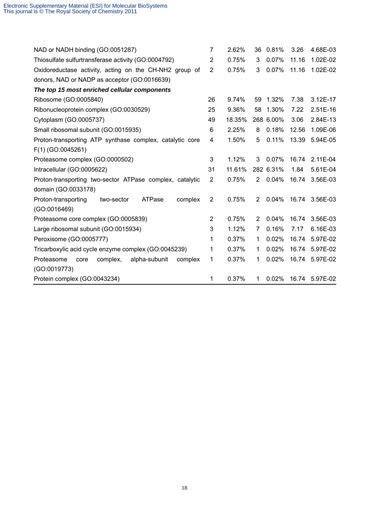| NAD or NADH binding (GO:0051287)                           | 7              | 2.62%  | 36                    | 0.81%     | 3.26  | 4.68E-03   |
|------------------------------------------------------------|----------------|--------|-----------------------|-----------|-------|------------|
| Thiosulfate sulfurtransferase activity (GO:0004792)        | $\overline{2}$ | 0.75%  | 3                     | 0.07%     | 11.16 | 1.02E-02   |
| Oxidoreductase activity, acting on the CH-NH2 group of     | 2              | 0.75%  | 3                     | 0.07%     | 11.16 | 1.02E-02   |
| donors, NAD or NADP as acceptor (GO:0016639)               |                |        |                       |           |       |            |
| The top 15 most enriched cellular components               |                |        |                       |           |       |            |
| Ribosome (GO:0005840)                                      | 26             | 9.74%  | 59                    | 1.32%     | 7.38  | 3.12E-17   |
| Ribonucleoprotein complex (GO:0030529)                     | 25             | 9.36%  | 58                    | 1.30%     | 7.22  | $2.51E-16$ |
| Cytoplasm (GO:0005737)                                     | 49             | 18.35% |                       | 268 6.00% | 3.06  | 2.84E-13   |
| Small ribosomal subunit (GO:0015935)                       | 6              | 2.25%  | 8                     | 0.18%     | 12.56 | 1.09E-06   |
| Proton-transporting ATP synthase complex, catalytic core   | 4              | 1.50%  | 5                     | 0.11%     | 13.39 | 5.94E-05   |
| F(1) (GO:0045261)                                          |                |        |                       |           |       |            |
| Proteasome complex (GO:0000502)                            | 3              | 1.12%  | 3                     | 0.07%     | 16.74 | 2.11E-04   |
| Intracellular (GO:0005622)                                 | 31             | 11.61% |                       | 282 6.31% | 1.84  | 5.61E-04   |
| Proton-transporting two-sector ATPase complex, catalytic   | $\overline{2}$ | 0.75%  | 2                     | 0.04%     | 16.74 | 3.56E-03   |
| domain (GO:0033178)                                        |                |        |                       |           |       |            |
| Proton-transporting<br>ATPase<br>complex<br>two-sector     | $\overline{2}$ | 0.75%  | $\overline{2}$        | 0.04%     | 16.74 | 3.56E-03   |
| (GO:0016469)                                               |                |        |                       |           |       |            |
| Proteasome core complex (GO:0005839)                       | 2              | 0.75%  | $\mathbf{2}^{\prime}$ | 0.04%     | 16.74 | 3.56E-03   |
| Large ribosomal subunit (GO:0015934)                       | 3              | 1.12%  | 7                     | 0.16%     | 7.17  | 6.16E-03   |
| Peroxisome (GO:0005777)                                    | 1              | 0.37%  | 1                     | 0.02%     | 16.74 | 5.97E-02   |
| Tricarboxylic acid cycle enzyme complex (GO:0045239)       | 1              | 0.37%  | 1                     | 0.02%     | 16.74 | 5.97E-02   |
| complex,<br>alpha-subunit<br>Proteasome<br>complex<br>core | 1              | 0.37%  | 1                     | 0.02%     | 16.74 | 5.97E-02   |
| (GO:0019773)                                               |                |        |                       |           |       |            |
| Protein complex (GO:0043234)                               | 1              | 0.37%  | $\mathbf 1$           | 0.02%     | 16.74 | 5.97E-02   |